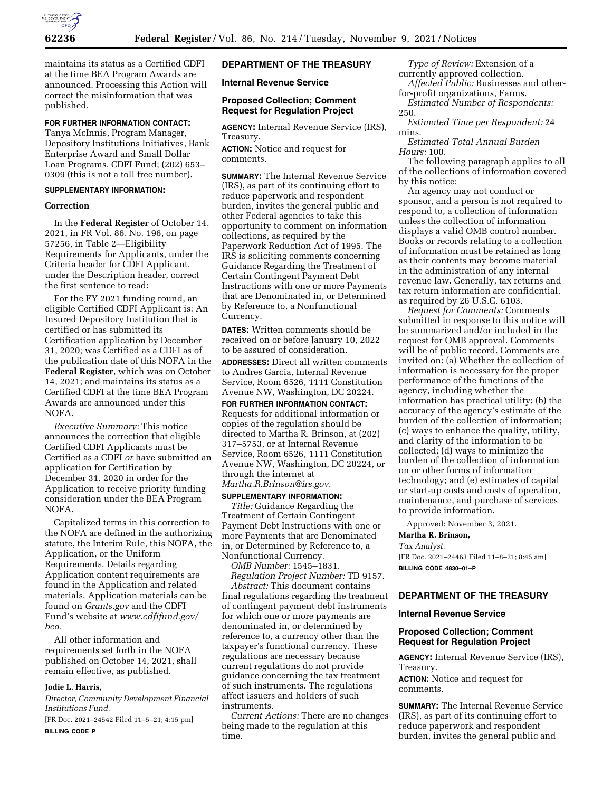

maintains its status as a Certified CDFI at the time BEA Program Awards are announced. Processing this Action will correct the misinformation that was published.

## **FOR FURTHER INFORMATION CONTACT:**

Tanya McInnis, Program Manager, Depository Institutions Initiatives, Bank Enterprise Award and Small Dollar Loan Programs, CDFI Fund; (202) 653– 0309 (this is not a toll free number).

### **SUPPLEMENTARY INFORMATION:**

### **Correction**

In the **Federal Register** of October 14, 2021, in FR Vol. 86, No. 196, on page 57256, in Table 2—Eligibility Requirements for Applicants, under the Criteria header for CDFI Applicant, under the Description header, correct the first sentence to read:

For the FY 2021 funding round, an eligible Certified CDFI Applicant is: An Insured Depository Institution that is certified or has submitted its Certification application by December 31, 2020; was Certified as a CDFI as of the publication date of this NOFA in the **Federal Register**, which was on October 14, 2021; and maintains its status as a Certified CDFI at the time BEA Program Awards are announced under this NOFA.

*Executive Summary:* This notice announces the correction that eligible Certified CDFI Applicants must be Certified as a CDFI *or* have submitted an application for Certification by December 31, 2020 in order for the Application to receive priority funding consideration under the BEA Program NOFA.

Capitalized terms in this correction to the NOFA are defined in the authorizing statute, the Interim Rule, this NOFA, the Application, or the Uniform Requirements. Details regarding Application content requirements are found in the Application and related materials. Application materials can be found on *Grants.gov* and the CDFI Fund's website at *[www.cdfifund.gov/](http://www.cdfifund.gov/bea) [bea.](http://www.cdfifund.gov/bea)* 

All other information and requirements set forth in the NOFA published on October 14, 2021, shall remain effective, as published.

### **Jodie L. Harris,**

*Director, Community Development Financial Institutions Fund.* 

[FR Doc. 2021–24542 Filed 11–5–21; 4:15 pm] **BILLING CODE P** 

## **DEPARTMENT OF THE TREASURY**

**Internal Revenue Service** 

## **Proposed Collection; Comment Request for Regulation Project**

**AGENCY:** Internal Revenue Service (IRS), Treasury.

**ACTION:** Notice and request for comments.

**SUMMARY:** The Internal Revenue Service (IRS), as part of its continuing effort to reduce paperwork and respondent burden, invites the general public and other Federal agencies to take this opportunity to comment on information collections, as required by the Paperwork Reduction Act of 1995. The IRS is soliciting comments concerning Guidance Regarding the Treatment of Certain Contingent Payment Debt Instructions with one or more Payments that are Denominated in, or Determined by Reference to, a Nonfunctional Currency.

**DATES:** Written comments should be received on or before January 10, 2022 to be assured of consideration.

**ADDRESSES:** Direct all written comments to Andres Garcia, Internal Revenue Service, Room 6526, 1111 Constitution Avenue NW, Washington, DC 20224.

## **FOR FURTHER INFORMATION CONTACT:**

Requests for additional information or copies of the regulation should be directed to Martha R. Brinson, at (202) 317–5753, or at Internal Revenue Service, Room 6526, 1111 Constitution Avenue NW, Washington, DC 20224, or through the internet at *[Martha.R.Brinson@irs.gov.](mailto:Martha.R.Brinson@irs.gov)* 

### **SUPPLEMENTARY INFORMATION:**

*Title:* Guidance Regarding the Treatment of Certain Contingent Payment Debt Instructions with one or more Payments that are Denominated in, or Determined by Reference to, a Nonfunctional Currency.

*OMB Number:* 1545–1831.

*Regulation Project Number:* TD 9157. *Abstract:* This document contains final regulations regarding the treatment of contingent payment debt instruments for which one or more payments are denominated in, or determined by reference to, a currency other than the taxpayer's functional currency. These regulations are necessary because current regulations do not provide guidance concerning the tax treatment of such instruments. The regulations affect issuers and holders of such instruments.

*Current Actions:* There are no changes being made to the regulation at this time.

*Type of Review:* Extension of a currently approved collection. *Affected Public:* Businesses and other-

for-profit organizations, Farms.

*Estimated Number of Respondents:*  250.

*Estimated Time per Respondent:* 24 mins.

*Estimated Total Annual Burden Hours:* 100.

The following paragraph applies to all of the collections of information covered by this notice:

An agency may not conduct or sponsor, and a person is not required to respond to, a collection of information unless the collection of information displays a valid OMB control number. Books or records relating to a collection of information must be retained as long as their contents may become material in the administration of any internal revenue law. Generally, tax returns and tax return information are confidential, as required by 26 U.S.C. 6103.

*Request for Comments:* Comments submitted in response to this notice will be summarized and/or included in the request for OMB approval. Comments will be of public record. Comments are invited on: (a) Whether the collection of information is necessary for the proper performance of the functions of the agency, including whether the information has practical utility; (b) the accuracy of the agency's estimate of the burden of the collection of information; (c) ways to enhance the quality, utility, and clarity of the information to be collected; (d) ways to minimize the burden of the collection of information on or other forms of information technology; and (e) estimates of capital or start-up costs and costs of operation, maintenance, and purchase of services to provide information.

Approved: November 3, 2021.

### **Martha R. Brinson,**  *Tax Analyst.*

[FR Doc. 2021–24463 Filed 11–8–21; 8:45 am] **BILLING CODE 4830–01–P** 

### **DEPARTMENT OF THE TREASURY**

#### **Internal Revenue Service**

## **Proposed Collection; Comment Request for Regulation Project**

**AGENCY:** Internal Revenue Service (IRS), Treasury.

**ACTION:** Notice and request for comments.

**SUMMARY:** The Internal Revenue Service (IRS), as part of its continuing effort to reduce paperwork and respondent burden, invites the general public and